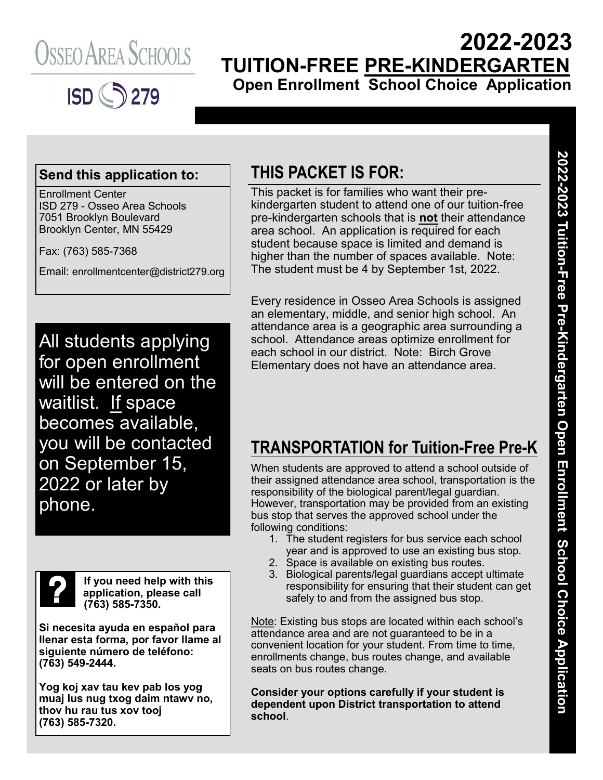



## **2022-2023 TUITION-FREE PRE-KINDERGARTEN Open Enrollment School Choice Application**

#### **Send this application to:**

Enrollment Center ISD 279 - Osseo Area Schools 7051 Brooklyn Boulevard Brooklyn Center, MN 55429

Fax: (763) 585-7368

Email: enrollmentcenter@district279.org

All students applying for open enrollment will be entered on the waitlist. If space becomes available, you will be contacted on September 15, 2022 or later by phone.



**If you need help with this application, please call (763) 585-7350.**

**Si necesita ayuda en español para llenar esta forma, por favor llame al siguiente número de teléfono: (763) 549-2444.**

**Yog koj xav tau kev pab los yog muaj lus nug txog daim ntawv no, thov hu rau tus xov tooj (763) 585-7320.**

### **THIS PACKET IS FOR:**

This packet is for families who want their prekindergarten student to attend one of our tuition-free pre-kindergarten schools that is **not** their attendance area school. An application is required for each student because space is limited and demand is higher than the number of spaces available. Note: The student must be 4 by September 1st, 2022.

Every residence in Osseo Area Schools is assigned an elementary, middle, and senior high school. An attendance area is a geographic area surrounding a school. Attendance areas optimize enrollment for each school in our district. Note: Birch Grove Elementary does not have an attendance area.

### **TRANSPORTATION for Tuition-Free Pre-K**

When students are approved to attend a school outside of their assigned attendance area school, transportation is the responsibility of the biological parent/legal guardian. However, transportation may be provided from an existing bus stop that serves the approved school under the following conditions:

- 1. The student registers for bus service each school year and is approved to use an existing bus stop.
- 2. Space is available on existing bus routes.
- 3. Biological parents/legal guardians accept ultimate responsibility for ensuring that their student can get safely to and from the assigned bus stop.

Note: Existing bus stops are located within each school's attendance area and are not guaranteed to be in a convenient location for your student. From time to time, enrollments change, bus routes change, and available seats on bus routes change.

**Consider your options carefully if your student is dependent upon District transportation to attend school**.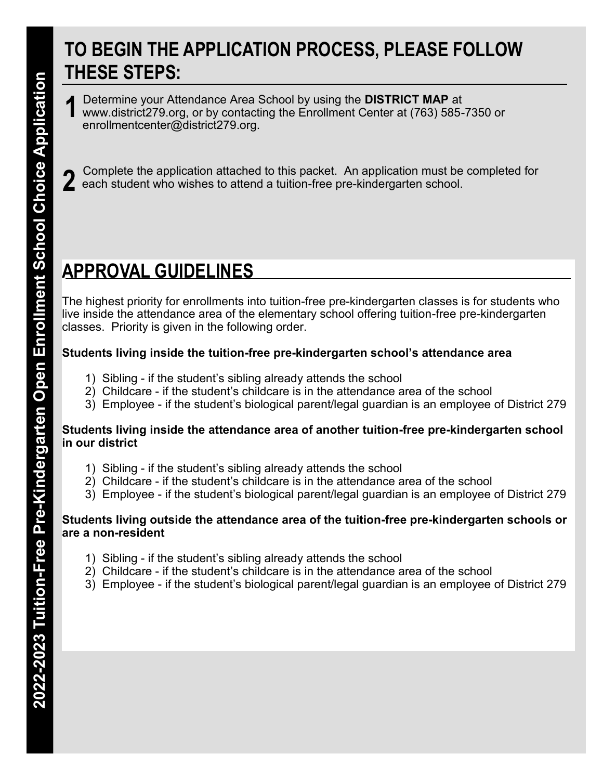## **TO BEGIN THE APPLICATION PROCESS, PLEASE FOLLOW THESE STEPS:**

Determine your Attendance Area School by using the **DISTRICT MAP** at www.district279.org, or by contacting the Enrollment Center at (763) 585-7350 or enrollmentcenter@district279.org. **1**

Complete the application attached to this packet. An application must be completed for each student who wishes to attend a tuition-free pre-kindergarten school. **2**

# **APPROVAL GUIDELINES**

The highest priority for enrollments into tuition-free pre-kindergarten classes is for students who live inside the attendance area of the elementary school offering tuition-free pre-kindergarten classes. Priority is given in the following order.

#### **Students living inside the tuition-free pre-kindergarten school's attendance area**

- 1) Sibling if the student's sibling already attends the school
- 2) Childcare if the student's childcare is in the attendance area of the school
- 3) Employee if the student's biological parent/legal guardian is an employee of District 279

#### **Students living inside the attendance area of another tuition-free pre-kindergarten school in our district**

- 1) Sibling if the student's sibling already attends the school
- 2) Childcare if the student's childcare is in the attendance area of the school
- 3) Employee if the student's biological parent/legal guardian is an employee of District 279

#### **Students living outside the attendance area of the tuition-free pre-kindergarten schools or are a non-resident**

- 1) Sibling if the student's sibling already attends the school
- 2) Childcare if the student's childcare is in the attendance area of the school
- 3) Employee if the student's biological parent/legal guardian is an employee of District 279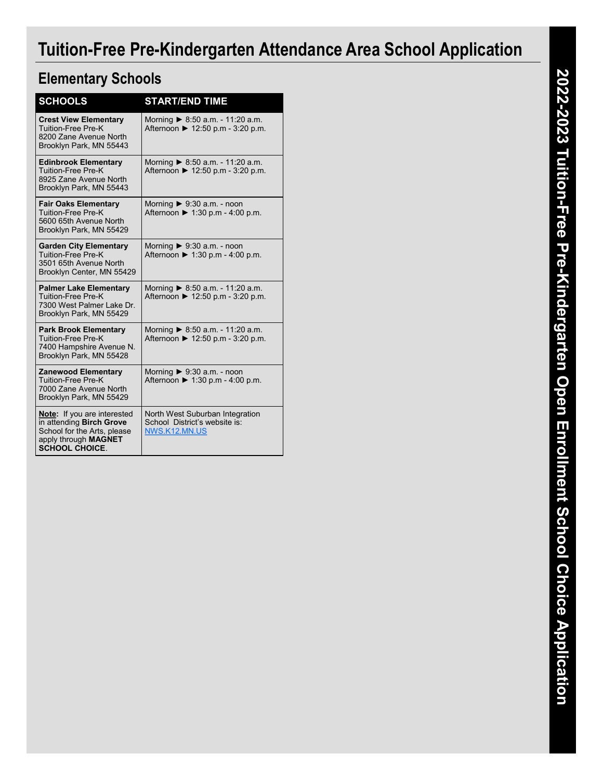# **Tuition-Free Pre-Kindergarten Attendance Area School Application**

### **Elementary Schools**

| <b>SCHOOLS</b>                                                                                                                                 | <b>START/END TIME</b>                                                                |
|------------------------------------------------------------------------------------------------------------------------------------------------|--------------------------------------------------------------------------------------|
| <b>Crest View Elementary</b><br><b>Tuition-Free Pre-K</b><br>8200 Zane Avenue North<br>Brooklyn Park, MN 55443                                 | Morning $\triangleright$ 8:50 a.m. - 11:20 a.m.<br>Afternoon ▶ 12:50 p.m - 3:20 p.m. |
| <b>Edinbrook Elementary</b><br>Tuition-Free Pre-K<br>8925 Zane Avenue North<br>Brooklyn Park, MN 55443                                         | Morning ▶ 8:50 a.m. - 11:20 a.m.<br>Afternoon ▶ 12:50 p.m - 3:20 p.m.                |
| <b>Fair Oaks Elementary</b><br><b>Tuition-Free Pre-K</b><br>5600 65th Avenue North<br>Brooklyn Park, MN 55429                                  | Morning $\triangleright$ 9:30 a.m. - noon<br>Afternoon ▶ 1:30 p.m - 4:00 p.m.        |
| <b>Garden City Elementary</b><br>Tuition-Free Pre-K<br>3501 65th Avenue North<br>Brooklyn Center, MN 55429                                     | Morning $\triangleright$ 9:30 a.m. - noon<br>Afternoon ▶ 1:30 p.m - 4:00 p.m.        |
| <b>Palmer Lake Elementary</b><br>Tuition-Free Pre-K<br>7300 West Palmer Lake Dr.<br>Brooklyn Park, MN 55429                                    | Morning ▶ 8:50 a.m. - 11:20 a.m.<br>Afternoon ▶ 12:50 p.m - 3:20 p.m.                |
| <b>Park Brook Elementary</b><br><b>Tuition-Free Pre-K</b><br>7400 Hampshire Avenue N.<br>Brooklyn Park, MN 55428                               | Morning ▶ 8:50 a.m. - 11:20 a.m.<br>Afternoon ▶ 12:50 p.m - 3:20 p.m.                |
| <b>Zanewood Elementary</b><br>Tuition-Free Pre-K<br>7000 Zane Avenue North<br>Brooklyn Park, MN 55429                                          | Morning $\triangleright$ 9:30 a.m. - noon<br>Afternoon ▶ 1:30 p.m - 4:00 p.m.        |
| <b>Note:</b> If you are interested<br>in attending Birch Grove<br>School for the Arts, please<br>apply through MAGNET<br><b>SCHOOL CHOICE.</b> | North West Suburban Integration<br>School District's website is:<br>NWS.K12.MN.US    |